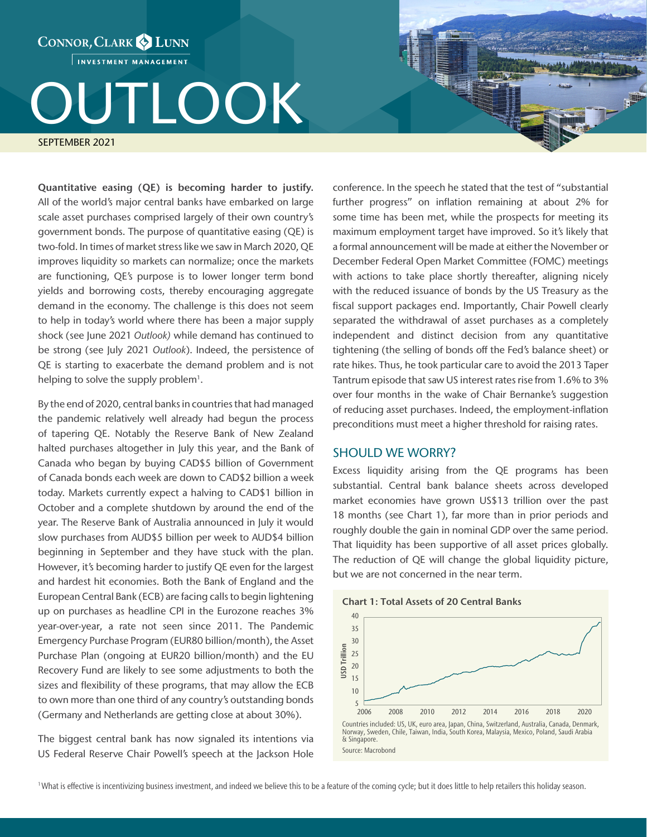INVESTMENT MANAGEMENT

CONNOR, CLARK & LUNN

## OUTLOOK

SEPTEMBER 2021

Quantitative easing (QE) is becoming harder to justify. All of the world's major central banks have embarked on large scale asset purchases comprised largely of their own country's government bonds. The purpose of quantitative easing (QE) is two-fold. In times of market stress like we saw in March 2020, QE improves liquidity so markets can normalize; once the markets are functioning, QE's purpose is to lower longer term bond yields and borrowing costs, thereby encouraging aggregate demand in the economy. The challenge is this does not seem to help in today's world where there has been a major supply shock (see June 2021 *Outlook)* while demand has continued to be strong (see July 2021 *Outlook*). Indeed, the persistence of QE is starting to exacerbate the demand problem and is not helping to solve the supply problem<sup>1</sup>.

By the end of 2020, central banks in countries that had managed the pandemic relatively well already had begun the process of tapering QE. Notably the Reserve Bank of New Zealand halted purchases altogether in July this year, and the Bank of Canada who began by buying CAD\$5 billion of Government of Canada bonds each week are down to CAD\$2 billion a week today. Markets currently expect a halving to CAD\$1 billion in October and a complete shutdown by around the end of the year. The Reserve Bank of Australia announced in July it would slow purchases from AUD\$5 billion per week to AUD\$4 billion beginning in September and they have stuck with the plan. However, it's becoming harder to justify QE even for the largest and hardest hit economies. Both the Bank of England and the European Central Bank (ECB) are facing calls to begin lightening up on purchases as headline CPI in the Eurozone reaches 3% year-over-year, a rate not seen since 2011. The Pandemic Emergency Purchase Program (EUR80 billion/month), the Asset Purchase Plan (ongoing at EUR20 billion/month) and the EU Recovery Fund are likely to see some adjustments to both the sizes and flexibility of these programs, that may allow the ECB to own more than one third of any country's outstanding bonds (Germany and Netherlands are getting close at about 30%).

The biggest central bank has now signaled its intentions via US Federal Reserve Chair Powell's speech at the Jackson Hole

conference. In the speech he stated that the test of "substantial further progress" on inflation remaining at about 2% for some time has been met, while the prospects for meeting its maximum employment target have improved. So it's likely that a formal announcement will be made at either the November or December Federal Open Market Committee (FOMC) meetings with actions to take place shortly thereafter, aligning nicely with the reduced issuance of bonds by the US Treasury as the fiscal support packages end. Importantly, Chair Powell clearly separated the withdrawal of asset purchases as a completely independent and distinct decision from any quantitative tightening (the selling of bonds off the Fed's balance sheet) or rate hikes. Thus, he took particular care to avoid the 2013 Taper Tantrum episode that saw US interest rates rise from 1.6% to 3% over four months in the wake of Chair Bernanke's suggestion of reducing asset purchases. Indeed, the employment-inflation preconditions must meet a higher threshold for raising rates.

## SHOULD WE WORRY?

Excess liquidity arising from the QE programs has been substantial. Central bank balance sheets across developed market economies have grown US\$13 trillion over the past 18 months (see Chart 1), far more than in prior periods and roughly double the gain in nominal GDP over the same period. That liquidity has been supportive of all asset prices globally. The reduction of QE will change the global liquidity picture, but we are not concerned in the near term.